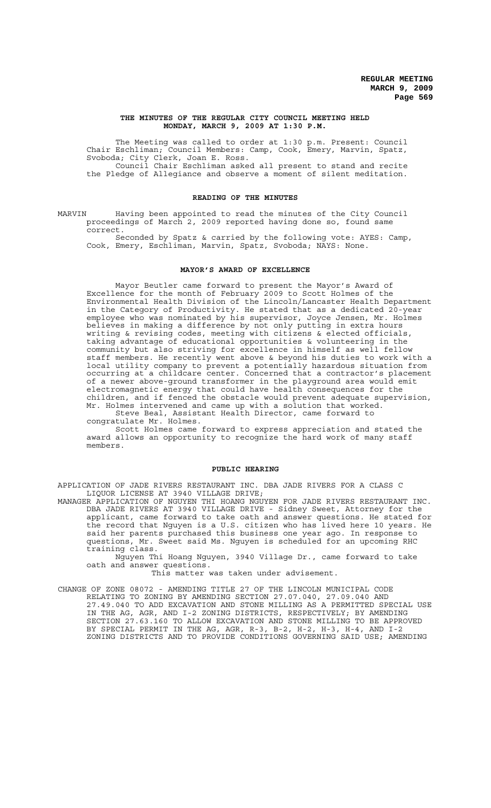#### **THE MINUTES OF THE REGULAR CITY COUNCIL MEETING HELD MONDAY, MARCH 9, 2009 AT 1:30 P.M.**

The Meeting was called to order at 1:30 p.m. Present: Council Chair Eschliman; Council Members: Camp, Cook, Emery, Marvin, Spatz, Svoboda; City Clerk, Joan E. Ross. Council Chair Eschliman asked all present to stand and recite

the Pledge of Allegiance and observe a moment of silent meditation.

### **READING OF THE MINUTES**

MARVIN Having been appointed to read the minutes of the City Council proceedings of March 2, 2009 reported having done so, found same correct.

Seconded by Spatz & carried by the following vote: AYES: Camp, Cook, Emery, Eschliman, Marvin, Spatz, Svoboda; NAYS: None.

### **MAYOR'S AWARD OF EXCELLENCE**

Mayor Beutler came forward to present the Mayor's Award of Excellence for the month of February 2009 to Scott Holmes of the Environmental Health Division of the Lincoln/Lancaster Health Department in the Category of Productivity. He stated that as a dedicated 20-year employee who was nominated by his supervisor, Joyce Jensen, Mr. Holmes believes in making a difference by not only putting in extra hours writing & revising codes, meeting with citizens & elected officials, taking advantage of educational opportunities & volunteering in the community but also striving for excellence in himself as well fellow staff members. He recently went above & beyond his duties to work with a local utility company to prevent a potentially hazardous situation from occurring at a childcare center. Concerned that a contractor's placement of a newer above-ground transformer in the playground area would emit electromagnetic energy that could have health consequences for the children, and if fenced the obstacle would prevent adequate supervision, Mr. Holmes intervened and came up with a solution that worked.

Steve Beal, Assistant Health Director, came forward to congratulate Mr. Holmes.

Scott Holmes came forward to express appreciation and stated the award allows an opportunity to recognize the hard work of many staff members.

### **PUBLIC HEARING**

APPLICATION OF JADE RIVERS RESTAURANT INC. DBA JADE RIVERS FOR A CLASS C LIQUOR LICENSE AT 3940 VILLAGE DRIVE;

MANAGER APPLICATION OF NGUYEN THI HOANG NGUYEN FOR JADE RIVERS RESTAURANT INC. DBA JADE RIVERS AT 3940 VILLAGE DRIVE - Sidney Sweet, Attorney for the applicant, came forward to take oath and answer questions. He stated for the record that Nguyen is a U.S. citizen who has lived here 10 years. He said her parents purchased this business one year ago. In response to questions, Mr. Sweet said Ms. Nguyen is scheduled for an upcoming RHC training class.

Nguyen Thi Hoang Nguyen, 3940 Village Dr., came forward to take oath and answer questions.

This matter was taken under advisement.

CHANGE OF ZONE 08072 - AMENDING TITLE 27 OF THE LINCOLN MUNICIPAL CODE RELATING TO ZONING BY AMENDING SECTION 27.07.040, 27.09.040 AND 27.49.040 TO ADD EXCAVATION AND STONE MILLING AS A PERMITTED SPECIAL USE IN THE AG, AGR, AND I-2 ZONING DISTRICTS, RESPECTIVELY; BY AMENDING SECTION 27.63.160 TO ALLOW EXCAVATION AND STONE MILLING TO BE APPROVED BY SPECIAL PERMIT IN THE AG, AGR, R-3, B-2, H-2, H-3, H-4, AND I-2 ZONING DISTRICTS AND TO PROVIDE CONDITIONS GOVERNING SAID USE; AMENDING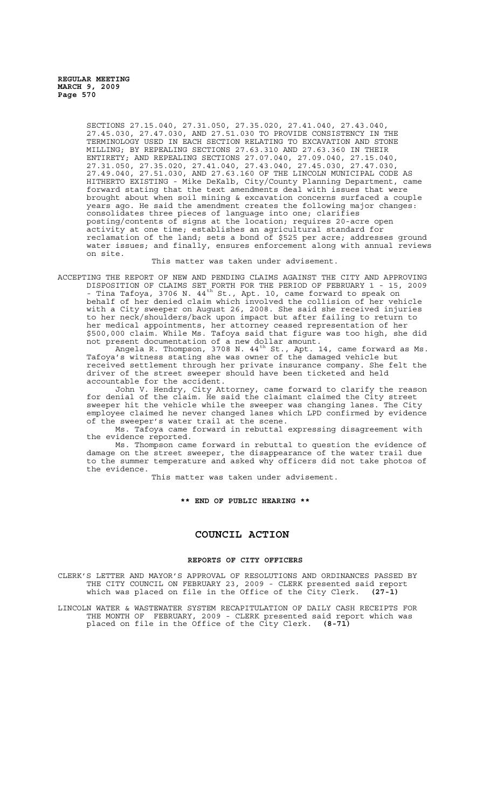> SECTIONS 27.15.040, 27.31.050, 27.35.020, 27.41.040, 27.43.040, 27.45.030, 27.47.030, AND 27.51.030 TO PROVIDE CONSISTENCY IN THE TERMINOLOGY USED IN EACH SECTION RELATING TO EXCAVATION AND STONE MILLING; BY REPEALING SECTIONS 27.63.310 AND 27.63.360 IN THEIR ENTIRETY; AND REPEALING SECTIONS 27.07.040, 27.09.040, 27.15.040, 27.31.050, 27.35.020, 27.41.040, 27.43.040, 27.45.030, 27.47.030, 27.49.040, 27.51.030, AND 27.63.160 OF THE LINCOLN MUNICIPAL CODE AS HITHERTO EXISTING - Mike DeKalb, City/County Planning Department, came forward stating that the text amendments deal with issues that were brought about when soil mining & excavation concerns surfaced a couple years ago. He said the amendment creates the following major changes: consolidates three pieces of language into one; clarifies posting/contents of signs at the location; requires 20-acre open activity at one time; establishes an agricultural standard for reclamation of the land; sets a bond of \$525 per acre; addresses ground water issues; and finally, ensures enforcement along with annual reviews on site.

### This matter was taken under advisement.

ACCEPTING THE REPORT OF NEW AND PENDING CLAIMS AGAINST THE CITY AND APPROVING DISPOSITION OF CLAIMS SET FORTH FOR THE PERIOD OF FEBRUARY 1 - 15, 2009 - Tina Tafoya, 3706 N.  $44^{th}$  St., Apt. 10, came forward to speak on behalf of her denied claim which involved the collision of her vehicle with a City sweeper on August 26, 2008. She said she received injuries to her neck/shoulders/back upon impact but after failing to return to her medical appointments, her attorney ceased representation of her \$500,000 claim. While Ms. Tafoya said that figure was too high, she did not present documentation of a new dollar amount.

Angela R. Thompson, 3708 N. 44 $^{\text{th}}$  St., Apt. 14, came forward as Ms. Tafoya's witness stating she was owner of the damaged vehicle but received settlement through her private insurance company. She felt the driver of the street sweeper should have been ticketed and held accountable for the accident.

John V. Hendry, City Attorney, came forward to clarify the reason for denial of the claim. He said the claimant claimed the City street<br>sweeper hit the vehicle while the sweeper was changing lanes. The City sweeper hit the vehicle while the sweeper was changing lanes. The City employee claimed he never changed lanes which LPD confirmed by evidence of the sweeper's water trail at the scene.

Ms. Tafoya came forward in rebuttal expressing disagreement with the evidence reported.

Ms. Thompson came forward in rebuttal to question the evidence of damage on the street sweeper, the disappearance of the water trail due to the summer temperature and asked why officers did not take photos of the evidence.

This matter was taken under advisement.

**\*\* END OF PUBLIC HEARING \*\***

### **COUNCIL ACTION**

### **REPORTS OF CITY OFFICERS**

CLERK'S LETTER AND MAYOR'S APPROVAL OF RESOLUTIONS AND ORDINANCES PASSED BY THE CITY COUNCIL ON FEBRUARY 23, 2009 - CLERK presented said report which was placed on file in the Office of the City Clerk. **(27-1)**

LINCOLN WATER & WASTEWATER SYSTEM RECAPITULATION OF DAILY CASH RECEIPTS FOR THE MONTH OF FEBRUARY, 2009 - CLERK presented said report which was placed on file in the Office of the City Clerk. **(8-71)**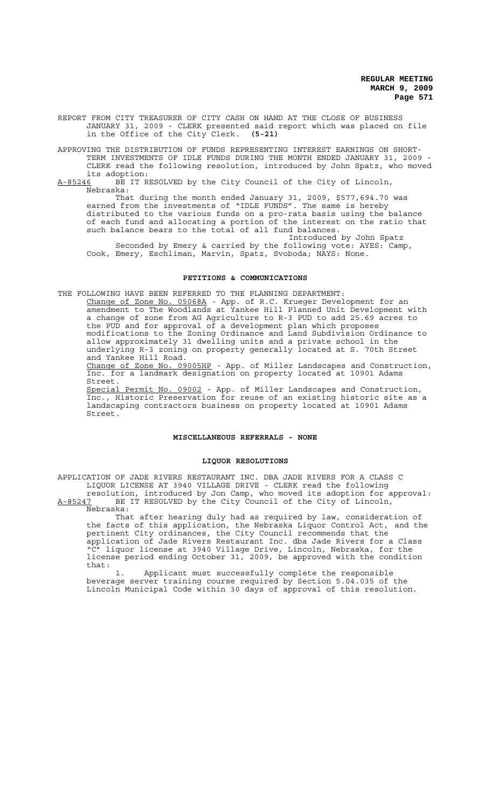REPORT FROM CITY TREASURER OF CITY CASH ON HAND AT THE CLOSE OF BUSINESS JANUARY 31, 2009 - CLERK presented said report which was placed on file in the Office of the City Clerk. **(5-21)**

APPROVING THE DISTRIBUTION OF FUNDS REPRESENTING INTEREST EARNINGS ON SHORT-TERM INVESTMENTS OF IDLE FUNDS DURING THE MONTH ENDED JANUARY 31, 2009 - CLERK read the following resolution, introduced by John Spatz, who moved

its adoption:<br><u>A-85246</u> BE IT R BE IT RESOLVED by the City Council of the City of Lincoln, Nebraska:

That during the month ended January 31, 2009, \$577,694.70 was earned from the investments of "IDLE FUNDS". The same is hereby distributed to the various funds on a pro-rata basis using the balance of each fund and allocating a portion of the interest on the ratio that such balance bears to the total of all fund balances.

Introduced by John Spatz Seconded by Emery & carried by the following vote: AYES: Camp, Cook, Emery, Eschliman, Marvin, Spatz, Svoboda; NAYS: None.

### **PETITIONS & COMMUNICATIONS**

THE FOLLOWING HAVE BEEN REFERRED TO THE PLANNING DEPARTMENT: Change of Zone No. 05068A - App. of R.C. Krueger Development for an amendment to The Woodlands at Yankee Hill Planned Unit Development with

a change of zone from AG Agriculture to R-3 PUD to add 25.69 acres to the PUD and for approval of a development plan which proposes modifications to the Zoning Ordinance and Land Subdivision Ordinance to allow approximately 31 dwelling units and a private school in the underlying R-3 zoning on property generally located at S. 70th Street and Yankee Hill Road.

Change of Zone No. 09005HP - App. of Miller Landscapes and Construction, Inc. for a landmark designation on property located at 10901 Adams Street.

Special Permit No. 09002 - App. of Miller Landscapes and Construction, Inc., Historic Preservation for reuse of an existing historic site as a landscaping contractors business on property located at 10901 Adams Street.

### **MISCELLANEOUS REFERRALS - NONE**

### **LIQUOR RESOLUTIONS**

APPLICATION OF JADE RIVERS RESTAURANT INC. DBA JADE RIVERS FOR A CLASS C LIQUOR LICENSE AT 3940 VILLAGE DRIVE - CLERK read the following resolution, introduced by Jon Camp, who moved its adoption for approval:

A-85247 BE IT RESOLVED by the City Council of the City of Lincoln, Nebraska:

That after hearing duly had as required by law, consideration of the facts of this application, the Nebraska Liquor Control Act, and the pertinent City ordinances, the City Council recommends that the application of Jade Rivers Restaurant Inc. dba Jade Rivers for a Class "C" liquor license at 3940 Village Drive, Lincoln, Nebraska, for the license period ending October 31, 2009, be approved with the condition that:

1. Applicant must successfully complete the responsible beverage server training course required by Section 5.04.035 of the Lincoln Municipal Code within 30 days of approval of this resolution.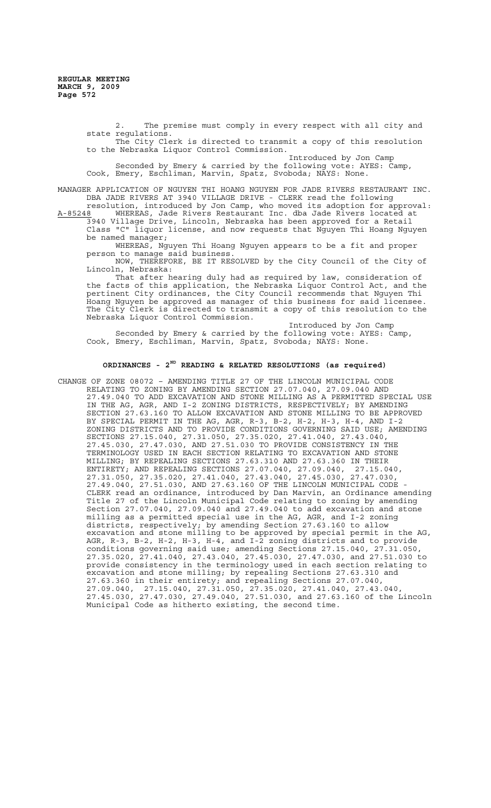2. The premise must comply in every respect with all city and state regulations. The City Clerk is directed to transmit a copy of this resolution

to the Nebraska Liquor Control Commission. Introduced by Jon Camp Seconded by Emery & carried by the following vote: AYES: Camp,

Cook, Emery, Eschliman, Marvin, Spatz, Svoboda; NAYS: None.

MANAGER APPLICATION OF NGUYEN THI HOANG NGUYEN FOR JADE RIVERS RESTAURANT INC. DBA JADE RIVERS AT 3940 VILLAGE DRIVE - CLERK read the following

resolution, introduced by Jon Camp, who moved its adoption for approval: A-85248 WHEREAS, Jade Rivers Restaurant Inc. dba Jade Rivers located at 3940 Village Drive, Lincoln, Nebraska has been approved for a Retail Class "C" liquor license, and now requests that Nguyen Thi Hoang Nguyen be named manager;

WHEREAS, Nguyen Thi Hoang Nguyen appears to be a fit and proper person to manage said business.

NOW, THEREFORE, BE IT RESOLVED by the City Council of the City of Lincoln, Nebraska:

That after hearing duly had as required by law, consideration of the facts of this application, the Nebraska Liquor Control Act, and the pertinent City ordinances, the City Council recommends that Nguyen Thi Hoang Nguyen be approved as manager of this business for said licensee. The City Clerk is directed to transmit a copy of this resolution to the Nebraska Liquor Control Commission.

Introduced by Jon Camp Seconded by Emery & carried by the following vote: AYES: Camp, Cook, Emery, Eschliman, Marvin, Spatz, Svoboda; NAYS: None.

# **ORDINANCES - 2ND READING & RELATED RESOLUTIONS (as required)**

CHANGE OF ZONE 08072 – AMENDING TITLE 27 OF THE LINCOLN MUNICIPAL CODE RELATING TO ZONING BY AMENDING SECTION 27.07.040, 27.09.040 AND 27.49.040 TO ADD EXCAVATION AND STONE MILLING AS A PERMITTED SPECIAL USE IN THE AG, AGR, AND I-2 ZONING DISTRICTS, RESPECTIVELY; BY AMENDING SECTION 27.63.160 TO ALLOW EXCAVATION AND STONE MILLING TO BE APPROVED BY SPECIAL PERMIT IN THE AG, AGR, R-3, B-2, H-2, H-3, H-4, AND I-2 ZONING DISTRICTS AND TO PROVIDE CONDITIONS GOVERNING SAID USE; AMENDING SECTIONS 27.15.040, 27.31.050, 27.35.020, 27.41.040, 27.43.040, 27.45.030, 27.47.030, AND 27.51.030 TO PROVIDE CONSISTENCY IN THE TERMINOLOGY USED IN EACH SECTION RELATING TO EXCAVATION AND STONE MILLING; BY REPEALING SECTIONS 27.63.310 AND 27.63.360 IN THEIR<br>ENTIRETY; AND REPEALING SECTIONS 27.07.040, 27.09.040, 27.15.040, ENTIRETY; AND REPEALING SECTIONS 27.07.040, 27.09.040, 27.15.040, 27.31.050, 27.35.020, 27.41.040, 27.43.040, 27.45.030, 27.47.030, 27.49.040, 27.51.030, AND 27.63.160 OF THE LINCOLN MUNICIPAL CODE - CLERK read an ordinance, introduced by Dan Marvin, an Ordinance amending Title 27 of the Lincoln Municipal Code relating to zoning by amending Section 27.07.040, 27.09.040 and 27.49.040 to add excavation and stone milling as a permitted special use in the AG, AGR, and I-2 zoning districts, respectively; by amending Section 27.63.160 to allow excavation and stone milling to be approved by special permit in the AG, AGR, R-3, B-2, H-2, H-3, H-4, and I-2 zoning districts and to provide conditions governing said use; amending Sections 27.15.040, 27.31.050 conditions governing said use; amending Sections 27.15.040, 27.35.020, 27.41.040, 27.43.040, 27.45.030, 27.47.030, and 27.51.030 to provide consistency in the terminology used in each section relating to excavation and stone milling; by repealing Sections 27.63.310 and 27.63.360 in their entirety; and repealing Sections 27.07.040, 27.09.040, 27.15.040, 27.31.050, 27.35.020, 27.41.040, 27.43.040, 27.45.030, 27.47.030, 27.49.040, 27.51.030, and 27.63.160 of the Lincoln Municipal Code as hitherto existing, the second time.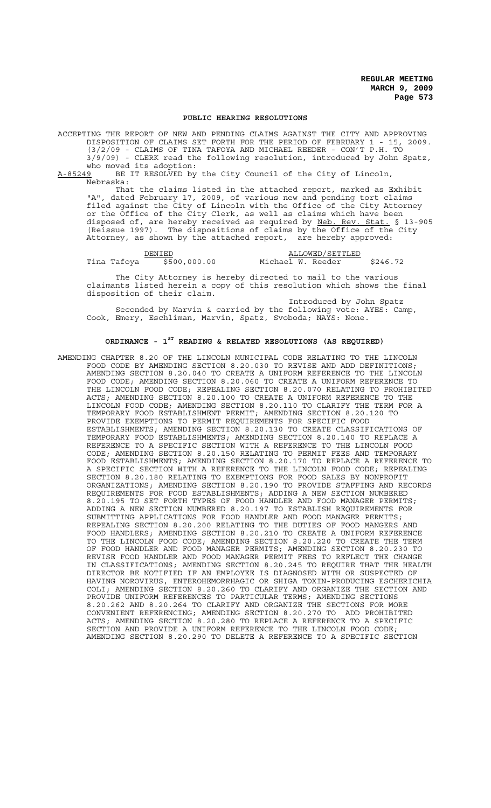### **PUBLIC HEARING RESOLUTIONS**

ACCEPTING THE REPORT OF NEW AND PENDING CLAIMS AGAINST THE CITY AND APPROVING DISPOSITION OF CLAIMS SET FORTH FOR THE PERIOD OF FEBRUARY 1 - 15, 2009. (3/2/09 - CLAIMS OF TINA TAFOYA AND MICHAEL REEDER - CON'T P.H. TO 3/9/09) - CLERK read the following resolution, introduced by John Spatz, who moved its adoption:<br>A-85249 BE IT RESOLVED by

BE IT RESOLVED by the City Council of the City of Lincoln, Nebraska:

That the claims listed in the attached report, marked as Exhibit "A", dated February 17, 2009, of various new and pending tort claims filed against the City of Lincoln with the Office of the City Attorney or the Office of the City Clerk, as well as claims which have been disposed of, are hereby received as required by Neb. Rev. Stat. § 13-905 (Reissue 1997). The dispositions of claims by the Office of the City Attorney, as shown by the attached report, are hereby approved:

DENIED ALLOWED/SETTLED Tina Tafoya \$500,000.00 Michael W. Reeder \$246.72

The City Attorney is hereby directed to mail to the various claimants listed herein a copy of this resolution which shows the final disposition of their claim.

Introduced by John Spatz Seconded by Marvin & carried by the following vote: AYES: Camp, Cook, Emery, Eschliman, Marvin, Spatz, Svoboda; NAYS: None.

### **ORDINANCE - 1ST READING & RELATED RESOLUTIONS (AS REQUIRED)**

AMENDING CHAPTER 8.20 OF THE LINCOLN MUNICIPAL CODE RELATING TO THE LINCOLN FOOD CODE BY AMENDING SECTION 8.20.030 TO REVISE AND ADD DEFINITIONS; AMENDING SECTION 8.20.040 TO CREATE A UNIFORM REFERENCE TO THE LINCOLN FOOD CODE; AMENDING SECTION 8.20.060 TO CREATE A UNIFORM REFERENCE TO THE LINCOLN FOOD CODE; REPEALING SECTION 8.20.070 RELATING TO PROHIBITED ACTS; AMENDING SECTION 8.20.100 TO CREATE A UNIFORM REFERENCE TO THE LINCOLN FOOD CODE; AMENDING SECTION 8.20.110 TO CLARIFY THE TERM FOR A TEMPORARY FOOD ESTABLISHMENT PERMIT; AMENDING SECTION 8.20.120 TO PROVIDE EXEMPTIONS TO PERMIT REQUIREMENTS FOR SPECIFIC FOOD ESTABLISHMENTS; AMENDING SECTION 8.20.130 TO CREATE CLASSIFICATIONS OF TEMPORARY FOOD ESTABLISHMENTS; AMENDING SECTION 8.20.140 TO REPLACE A REFERENCE TO A SPECIFIC SECTION WITH A REFERENCE TO THE LINCOLN FOOD CODE; AMENDING SECTION 8.20.150 RELATING TO PERMIT FEES AND TEMPORARY FOOD ESTABLISHMENTS; AMENDING SECTION 8.20.170 TO REPLACE A REFERENCE TO A SPECIFIC SECTION WITH A REFERENCE TO THE LINCOLN FOOD CODE; REPEALING SECTION 8.20.180 RELATING TO EXEMPTIONS FOR FOOD SALES BY NONPROFIT ORGANIZATIONS; AMENDING SECTION 8.20.190 TO PROVIDE STAFFING AND RECORDS REQUIREMENTS FOR FOOD ESTABLISHMENTS; ADDING A NEW SECTION NUMBERED 8.20.195 TO SET FORTH TYPES OF FOOD HANDLER AND FOOD MANAGER PERMITS; ADDING A NEW SECTION NUMBERED 8.20.197 TO ESTABLISH REQUIREMENTS FOR SUBMITTING APPLICATIONS FOR FOOD HANDLER AND FOOD MANAGER PERMITS; REPEALING SECTION 8.20.200 RELATING TO THE DUTIES OF FOOD MANGERS AND FOOD HANDLERS; AMENDING SECTION 8.20.210 TO CREATE A UNIFORM REFERENCE TO THE LINCOLN FOOD CODE; AMENDING SECTION 8.20.220 TO CREATE THE TERM OF FOOD HANDLER AND FOOD MANAGER PERMITS; AMENDING SECTION 8.20.230 TO REVISE FOOD HANDLER AND FOOD MANAGER PERMIT FEES TO REFLECT THE CHANGE IN CLASSIFICATIONS; AMENDING SECTION 8.20.245 TO REQUIRE THAT THE HEALTH DIRECTOR BE NOTIFIED IF AN EMPLOYEE IS DIAGNOSED WITH OR SUSPECTED OF HAVING NOROVIRUS, ENTEROHEMORRHAGIC OR SHIGA TOXIN-PRODUCING ESCHERICHIA COLI; AMENDING SECTION 8.20.260 TO CLARIFY AND ORGANIZE THE SECTION AND PROVIDE UNIFORM REFERENCES TO PARTICULAR TERMS; AMENDING SECTIONS 8.20.262 AND 8.20.264 TO CLARIFY AND ORGANIZE THE SECTIONS FOR MORE CONVENIENT REFERENCING; AMENDING SECTION 8.20.270 TO ADD PROHIBITED ACTS; AMENDING SECTION 8.20.280 TO REPLACE A REFERENCE TO A SPECIFIC SECTION AND PROVIDE A UNIFORM REFERENCE TO THE LINCOLN FOOD CODE; AMENDING SECTION 8.20.290 TO DELETE A REFERENCE TO A SPECIFIC SECTION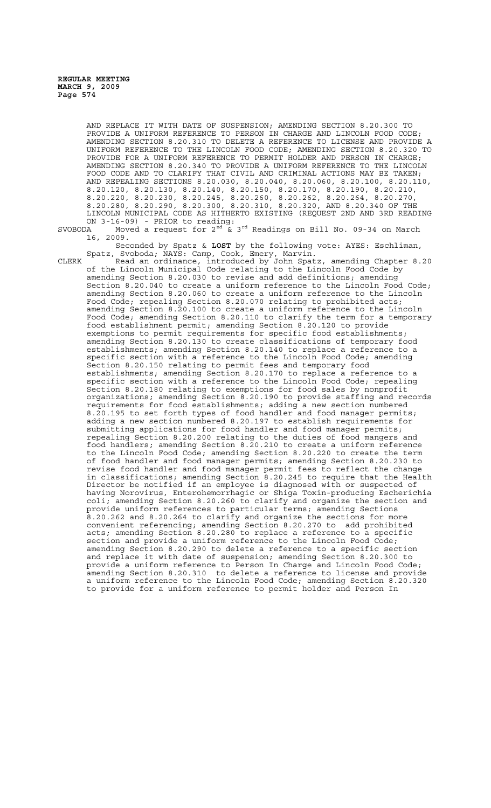AND REPLACE IT WITH DATE OF SUSPENSION; AMENDING SECTION 8.20.300 TO PROVIDE A UNIFORM REFERENCE TO PERSON IN CHARGE AND LINCOLN FOOD CODE; AMENDING SECTION 8.20.310 TO DELETE A REFERENCE TO LICENSE AND PROVIDE A UNIFORM REFERENCE TO THE LINCOLN FOOD CODE; AMENDING SECTION 8.20.320 TO PROVIDE FOR A UNIFORM REFERENCE TO PERMIT HOLDER AND PERSON IN CHARGE; AMENDING SECTION 8.20.340 TO PROVIDE A UNIFORM REFERENCE TO THE LINCOLN FOOD CODE AND TO CLARIFY THAT CIVIL AND CRIMINAL ACTIONS MAY BE TAKEN; AND REPEALING SECTIONS 8.20.030, 8.20.040, 8.20.060, 8.20.100, 8.20.110, 8.20.120, 8.20.130, 8.20.140, 8.20.150, 8.20.170, 8.20.190, 8.20.210, 8.20.220, 8.20.230, 8.20.245, 8.20.260, 8.20.262, 8.20.264, 8.20.270, 8.20.280, 8.20.290, 8.20.300, 8.20.310, 8.20.320, AND 8.20.340 OF THE LINCOLN MUNICIPAL CODE AS HITHERTO EXISTING (REQUEST 2ND AND 3RD READING ON 3-16-09) - PRIOR to reading:

SVOBODA Moved a request for  $2^{nd}$  &  $3^{rd}$  Readings on Bill No. 09-34 on March 16, 2009.

Seconded by Spatz & **LOST** by the following vote: AYES: Eschliman, Spatz, Svoboda; NAYS: Camp, Cook, Emery, Marvin.

CLERK Read an ordinance, introduced by John Spatz, amending Chapter 8.20 of the Lincoln Municipal Code relating to the Lincoln Food Code by amending Section 8.20.030 to revise and add definitions; amending Section 8.20.040 to create a uniform reference to the Lincoln Food Code; amending Section 8.20.060 to create a uniform reference to the Lincoln Food Code; repealing Section 8.20.070 relating to prohibited acts; amending Section 8.20.100 to create a uniform reference to the Lincoln Food Code; amending Section 8.20.110 to clarify the term for a temporary food establishment permit; amending Section 8.20.120 to provide exemptions to permit requirements for specific food establishments; amending Section 8.20.130 to create classifications of temporary food establishments; amending Section 8.20.140 to replace a reference to a specific section with a reference to the Lincoln Food Code; amending Section 8.20.150 relating to permit fees and temporary food establishments; amending Section 8.20.170 to replace a reference to a specific section with a reference to the Lincoln Food Code; repealing Section 8.20.180 relating to exemptions for food sales by nonprofit organizations; amending Section 8.20.190 to provide staffing and records requirements for food establishments; adding a new section numbered 8.20.195 to set forth types of food handler and food manager permits; adding a new section numbered 8.20.197 to establish requirements for submitting applications for food handler and food manager permits; repealing Section 8.20.200 relating to the duties of food mangers and food handlers; amending Section 8.20.210 to create a uniform reference to the Lincoln Food Code; amending Section 8.20.220 to create the term of food handler and food manager permits; amending Section 8.20.230 to revise food handler and food manager permit fees to reflect the change in classifications; amending Section 8.20.245 to require that the Health Director be notified if an employee is diagnosed with or suspected of having Norovirus, Enterohemorrhagic or Shiga Toxin-producing Escherichia coli; amending Section 8.20.260 to clarify and organize the section and provide uniform references to particular terms; amending Sections 8.20.262 and 8.20.264 to clarify and organize the sections for more convenient referencing; amending Section 8.20.270 to add prohibited acts; amending Section 8.20.280 to replace a reference to a specific section and provide a uniform reference to the Lincoln Food Code; amending Section 8.20.290 to delete a reference to a specific section and replace it with date of suspension; amending Section 8.20.300 to provide a uniform reference to Person In Charge and Lincoln Food Code; amending Section 8.20.310 to delete a reference to license and provide a uniform reference to the Lincoln Food Code; amending Section 8.20.320 to provide for a uniform reference to permit holder and Person In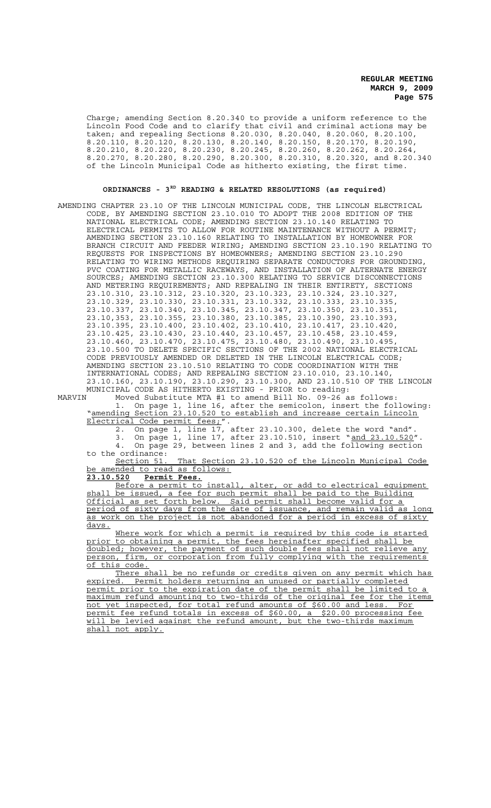Charge; amending Section 8.20.340 to provide a uniform reference to the Lincoln Food Code and to clarify that civil and criminal actions may be taken; and repealing Sections 8.20.030, 8.20.040, 8.20.060, 8.20.100, 8.20.110, 8.20.120, 8.20.130, 8.20.140, 8.20.150, 8.20.170, 8.20.190, 8.20.210, 8.20.220, 8.20.230, 8.20.245, 8.20.260, 8.20.262, 8.20.264, 8.20.270, 8.20.280, 8.20.290, 8.20.300, 8.20.310, 8.20.320, and 8.20.340 of the Lincoln Municipal Code as hitherto existing, the first time.

## **ORDINANCES - 3RD READING & RELATED RESOLUTIONS (as required)**

AMENDING CHAPTER 23.10 OF THE LINCOLN MUNICIPAL CODE, THE LINCOLN ELECTRICAL CODE, BY AMENDING SECTION 23.10.010 TO ADOPT THE 2008 EDITION OF THE NATIONAL ELECTRICAL CODE; AMENDING SECTION 23.10.140 RELATING TO ELECTRICAL PERMITS TO ALLOW FOR ROUTINE MAINTENANCE WITHOUT A PERMIT; AMENDING SECTION 23.10.160 RELATING TO INSTALLATION BY HOMEOWNER FOR BRANCH CIRCUIT AND FEEDER WIRING; AMENDING SECTION 23.10.190 RELATING TO REQUESTS FOR INSPECTIONS BY HOMEOWNERS; AMENDING SECTION 23.10.290 RELATING TO WIRING METHODS REQUIRING SEPARATE CONDUCTORS FOR GROUNDING, PVC COATING FOR METALLIC RACEWAYS, AND INSTALLATION OF ALTERNATE ENERGY SOURCES; AMENDING SECTION 23.10.300 RELATING TO SERVICE DISCONNECTIONS AND METERING REQUIREMENTS; AND REPEALING IN THEIR ENTIRETY, SECTIONS 23.10.310, 23.10.312, 23.10.320, 23.10.323, 23.10.324, 23.10.327, 23.10.329, 23.10.330, 23.10.331, 23.10.332, 23.10.333, 23.10.335, 23.10.337, 23.10.340, 23.10.345, 23.10.347, 23.10.350, 23.10.351, 23.10,353, 23.10.355, 23.10.380, 23.10.385, 23.10.390, 23.10.393, 23.10.395, 23.10.400, 23.10.402, 23.10.410, 23.10.417, 23.10.420, 23.10.425, 23.10.430, 23.10.440, 23.10.457, 23.10.458, 23.10.459, 23.10.460, 23.10.470, 23.10.475, 23.10.480, 23.10.490, 23.10.495, 23.10.500 TO DELETE SPECIFIC SECTIONS OF THE 2002 NATIONAL ELECTRICAL CODE PREVIOUSLY AMENDED OR DELETED IN THE LINCOLN ELECTRICAL CODE; AMENDING SECTION 23.10.510 RELATING TO CODE COORDINATION WITH THE INTERNATIONAL CODES; AND REPEALING SECTION 23.10.010, 23.10.140, 23.10.160, 23.10.190, 23.10.290, 23.10.300, AND 23.10.510 OF THE LINCOLN MUNICIPAL CODE AS HITHERTO EXISTING - PRIOR to reading:

MARVIN Moved Substitute MTA #1 to amend Bill No. 09-26 as follows: 1. On page 1, line 16, after the semicolon, insert the following: "amending Section 23.10.520 to establish and increase certain Lincoln Electrical Code permit fees;".

2. On page 1, line 17, after 23.10.300, delete the word "and".

3. On page 1, line 17, after 23.10.510, insert "and 23.10.520". 4. On page 29, between lines 2 and 3, add the following section to the ordinance:

Section 51. That Section 23.10.520 of the Lincoln Municipal Code be amended to read as follows:

**23.10.520 Permit Fees.**

Before a permit to install, alter, or add to electrical equipment shall be issued, a fee for such permit shall be paid to the Building Official as set forth below. Said permit shall become valid for a period of sixty days from the date of issuance, and remain valid as long as work on the project is not abandoned for a period in excess of sixty days.

Where work for which a permit is required by this code is started prior to obtaining a permit, the fees hereinafter specified shall be doubled; however, the payment of such double fees shall not relieve any person, firm, or corporation from fully complying with the requirements of this code.

There shall be no refunds or credits given on any permit which has expired. Permit holders returning an unused or partially completed permit prior to the expiration date of the permit shall be limited to maximum refund amounting to two-thirds of the original fee for the items not yet inspected, for total refund amounts of \$60.00 and less. For<br>permit fee refund totals in excess of \$60.00, a \$20.00 processing fee permit fee refund totals in excess of \$60.00, a will be levied against the refund amount, but the two-thirds maximum shall not apply.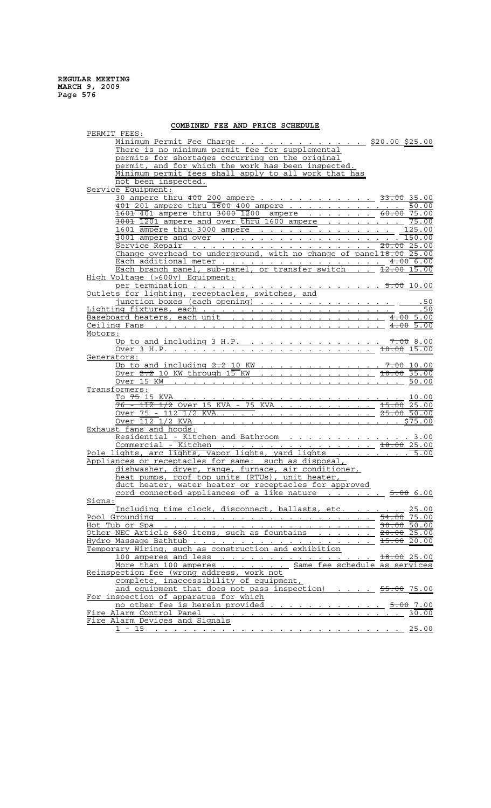## **COMBINED FEE AND PRICE SCHEDULE**

| COMBINED FEE AND FRICE                                                                          |                                                          |
|-------------------------------------------------------------------------------------------------|----------------------------------------------------------|
| PERMIT FEES:                                                                                    |                                                          |
| Minimum Permit Fee Charge \$20.00 \$25.00                                                       |                                                          |
| There is no minimum permit fee for supplemental                                                 |                                                          |
| permits for shortages occurring on the original                                                 |                                                          |
| permit, and for which the work has been inspected.                                              |                                                          |
|                                                                                                 |                                                          |
| Minimum permit fees shall apply to all work that has                                            |                                                          |
| not been inspected.                                                                             |                                                          |
| Service Equipment:                                                                              |                                                          |
| 30 ampere thru 400 200 ampere 33.00 35.00                                                       |                                                          |
|                                                                                                 |                                                          |
| 401 201 ampere thru 1600 400 ampere                                                             | 50.00                                                    |
| 1601 401 ampere thru 3000 1200 ampere 60.00 75.00                                               |                                                          |
| $\frac{3001}{1201}$ ampere and over thru 1600 ampere                                            | 75.00                                                    |
| 1601 ampere thru 3000 ampere 125.00                                                             |                                                          |
|                                                                                                 |                                                          |
| 3001 ampere and over <u>.</u>                                                                   | 150.00                                                   |
|                                                                                                 | 20.0025.00                                               |
| Change overhead to underground, with no change of panel 18.00 25.00                             |                                                          |
|                                                                                                 |                                                          |
| Each additional meter 4.00 6.00<br>Each branch panel, sub-panel, or transfer switch 12.00 15.00 |                                                          |
|                                                                                                 |                                                          |
| High Voltage (>600v) Equipment:                                                                 |                                                          |
| per termination 5.00 10.00                                                                      |                                                          |
| Outlets for lighting, receptacles, switches, and                                                |                                                          |
|                                                                                                 |                                                          |
|                                                                                                 | .50                                                      |
|                                                                                                 | .50                                                      |
|                                                                                                 | $4.00$ 5.00                                              |
|                                                                                                 |                                                          |
| Motors:                                                                                         |                                                          |
|                                                                                                 |                                                          |
| Up to and including 3 H.P.                                                                      | $7.00$ 8.00                                              |
|                                                                                                 |                                                          |
| Generators:                                                                                     |                                                          |
| <u>Up to and including <math>2.2</math> 10 KW 7.00 10.00</u>                                    |                                                          |
|                                                                                                 |                                                          |
| <u>Over 2.2 10 KW through <math>15</math> KW 10.00 35.00</u>                                    |                                                          |
|                                                                                                 | 50.00                                                    |
| Transformers:                                                                                   |                                                          |
|                                                                                                 |                                                          |
|                                                                                                 |                                                          |
|                                                                                                 |                                                          |
| <u>Over 75 - 112 1/2 KVA 25.00 50.00</u>                                                        |                                                          |
|                                                                                                 | \$75.00                                                  |
| Exhaust fans and hoods:                                                                         |                                                          |
| Residential - Kitchen and Bathroom 3.00                                                         |                                                          |
|                                                                                                 |                                                          |
| Commercial - Kitchen 18.00 25.00                                                                |                                                          |
| Pole lights, arc lights, vapor lights, yard lights 5.00                                         |                                                          |
| Appliances or receptacles for same: such as disposal,                                           |                                                          |
| dishwasher, dryer, range, furnace, air conditioner,                                             |                                                          |
|                                                                                                 |                                                          |
| heat pumps, roof top units (RTUs), unit heater,                                                 |                                                          |
| duct heater, water heater or receptacles for approved                                           |                                                          |
| cord connected appliances of a like nature $\cdots$                                             | 5.006.00                                                 |
| Signs:                                                                                          |                                                          |
|                                                                                                 |                                                          |
| Including time clock, disconnect, ballasts, etc.                                                | 25.00                                                    |
| Pool Grounding                                                                                  | 54.00<br>75.<br>. 0 0                                    |
|                                                                                                 |                                                          |
| Other NEC Article 680 items, such as fountains 20.00 25.00                                      |                                                          |
|                                                                                                 |                                                          |
| Hydro Massaqe Bathtub                                                                           | 15.00 20.00                                              |
| Temporary Wiring, such as construction and exhibition                                           |                                                          |
| 100 amperes and less 18.00 25.00                                                                |                                                          |
| More than 100 amperes Same fee schedule as services                                             |                                                          |
| Reinspection fee (wrong address, work not                                                       |                                                          |
|                                                                                                 |                                                          |
| complete, inaccessibility of equipment,                                                         |                                                          |
| and equipment that does not pass inspection)                                                    | 55.00 75.00                                              |
| For inspection of apparatus for which                                                           |                                                          |
| no other fee is herein provided                                                                 |                                                          |
|                                                                                                 | 5.00 7.00                                                |
| Fire Alarm Control Panel                                                                        | 30<br>00                                                 |
| Fire Alarm Devices and Signals                                                                  |                                                          |
| <u>1 - 15</u><br>$\mathbf{r} = \mathbf{r} + \mathbf{r} + \mathbf{r} + \mathbf{r} + \mathbf{r}$  | 25.00<br>$\mathbf{A}=\mathbf{A}+\mathbf{A}+\mathbf{A}$ . |
|                                                                                                 |                                                          |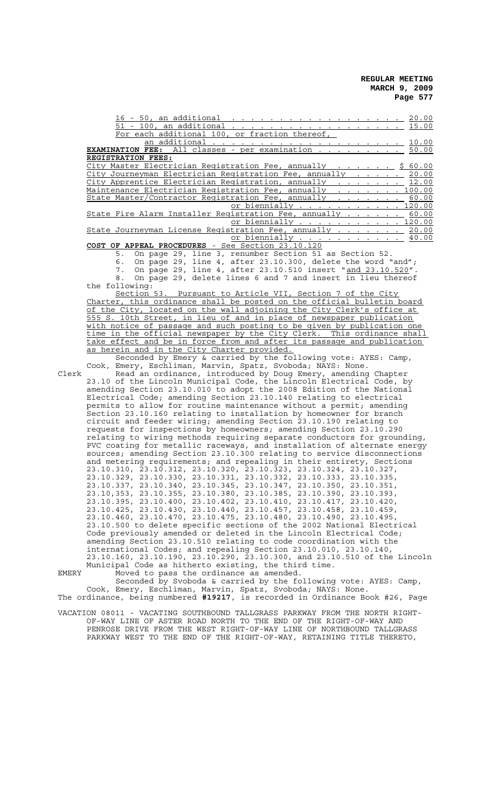|       | 16 - 50, an additional<br>20.00<br>$\mathcal{L}$ . The state of the state of the state of the state of the state of the state of the state of the state of the state of the state of the state of the state of the state of the state of the state of the state of th |
|-------|-----------------------------------------------------------------------------------------------------------------------------------------------------------------------------------------------------------------------------------------------------------------------|
|       | 51 - 100, an additional<br>15.00<br>the contract of the contract of the contract of the contract of the contract of the contract of the contract of the contract of the contract of the contract of the contract of the contract of the contract of the contract o    |
|       | or fraction thereof,<br>For each additional 100,                                                                                                                                                                                                                      |
|       | an additional<br>10.00                                                                                                                                                                                                                                                |
|       |                                                                                                                                                                                                                                                                       |
|       | <b>EXAMINATION FEE:</b> All classes - per examination<br>50.00                                                                                                                                                                                                        |
|       | REGISTRATION FEES:                                                                                                                                                                                                                                                    |
|       | City Master Electrician Registration Fee, annually<br>\$60.00                                                                                                                                                                                                         |
|       | City Journeyman Electrician Registration Fee, annually<br>20.00                                                                                                                                                                                                       |
|       | City Apprentice Electrician Registration, annually<br>12.00                                                                                                                                                                                                           |
|       |                                                                                                                                                                                                                                                                       |
|       | Maintenance Electrician Registration Fee, annually<br>100.00                                                                                                                                                                                                          |
|       | State Master/Contractor Registration Fee, annually<br>60.00                                                                                                                                                                                                           |
|       | or biennially<br>120.00                                                                                                                                                                                                                                               |
|       | State Fire Alarm Installer Registration Fee, annually<br>60.00                                                                                                                                                                                                        |
|       | or biennially<br>120.00                                                                                                                                                                                                                                               |
|       | State Journeyman License Registration Fee, annually<br>20.00                                                                                                                                                                                                          |
|       |                                                                                                                                                                                                                                                                       |
|       | or biennially<br>40.00                                                                                                                                                                                                                                                |
|       | COST OF APPEAL PROCEDURES - See Section 23.10.120                                                                                                                                                                                                                     |
|       | On page 29, line 3, renumber Section 51 as Section 52.<br>5.                                                                                                                                                                                                          |
|       | On page 29, line 4, after 23.10.300, delete the word "and";<br>6.                                                                                                                                                                                                     |
|       | On page 29, line 4, after 23.10.510 insert "and 23.10.520".                                                                                                                                                                                                           |
|       | 7.                                                                                                                                                                                                                                                                    |
|       | On page 29, delete lines 6 and 7 and insert in lieu thereof<br>8.                                                                                                                                                                                                     |
|       | the following:                                                                                                                                                                                                                                                        |
|       | Section 53. Pursuant to Article VII, Section 7 of the City                                                                                                                                                                                                            |
|       | Charter, this ordinance shall be posted on the official bulletin board                                                                                                                                                                                                |
|       | of the City, located on the wall adjoining the City Clerk's office at                                                                                                                                                                                                 |
|       |                                                                                                                                                                                                                                                                       |
|       | 555 S. 10th Street, in lieu of and in place of newspaper publication                                                                                                                                                                                                  |
|       | with notice of passage and such posting to be given by publication one                                                                                                                                                                                                |
|       | time in the official newspaper by the City Clerk. This ordinance shall                                                                                                                                                                                                |
|       | take effect and be in force from and after its passage and publication                                                                                                                                                                                                |
|       | as herein and in the City Charter provided.                                                                                                                                                                                                                           |
|       | Seconded by Emery & carried by the following vote: AYES: Camp,                                                                                                                                                                                                        |
|       | Cook, Emery, Eschliman, Marvin, Spatz, Svoboda; NAYS: None.                                                                                                                                                                                                           |
|       |                                                                                                                                                                                                                                                                       |
| Clerk | Read an ordinance, introduced by Doug Emery, amending Chapter                                                                                                                                                                                                         |
|       | 23.10 of the Lincoln Municipal Code, the Lincoln Electrical Code, by                                                                                                                                                                                                  |
|       | amending Section 23.10.010 to adopt the 2008 Edition of the National                                                                                                                                                                                                  |
|       | Electrical Code; amending Section 23.10.140 relating to electrical                                                                                                                                                                                                    |
|       | permits to allow for routine maintenance without a permit; amending                                                                                                                                                                                                   |
|       | Section 23.10.160 relating to installation by homeowner for branch                                                                                                                                                                                                    |
|       |                                                                                                                                                                                                                                                                       |
|       | circuit and feeder wiring; amending Section 23.10.190 relating to                                                                                                                                                                                                     |
|       | requests for inspections by homeowners; amending Section 23.10.290                                                                                                                                                                                                    |
|       | relating to wiring methods requiring separate conductors for grounding,                                                                                                                                                                                               |
|       | PVC coating for metallic raceways, and installation of alternate energy                                                                                                                                                                                               |
|       | sources; amending Section 23.10.300 relating to service disconnections                                                                                                                                                                                                |
|       |                                                                                                                                                                                                                                                                       |
|       | and metering requirements; and repealing in their entirety, Sections                                                                                                                                                                                                  |
|       | 23.10.310, 23.10.312, 23.10.320, 23.10.323, 23.10.324, 23.10.327,                                                                                                                                                                                                     |
|       | 23.10.329, 23.10.330, 23.10.331, 23.10.332, 23.10.333, 23.10.335,                                                                                                                                                                                                     |
|       | 23.10.337, 23.10.340, 23.10.345, 23.10.347, 23.10.350, 23.10.351,                                                                                                                                                                                                     |
|       | 23.10,353, 23.10.355, 23.10.380, 23.10.385, 23.10.390, 23.10.393,                                                                                                                                                                                                     |
|       | 23.10.395, 23.10.400, 23.10.402, 23.10.410, 23.10.417, 23.10.420,                                                                                                                                                                                                     |
|       |                                                                                                                                                                                                                                                                       |
|       | 23.10.425, 23.10.430, 23.10.440, 23.10.457, 23.10.458, 23.10.459,                                                                                                                                                                                                     |
|       | 23.10.460, 23.10.470, 23.10.475, 23.10.480, 23.10.490, 23.10.495,                                                                                                                                                                                                     |
|       | 23.10.500 to delete specific sections of the 2002 National Electrical                                                                                                                                                                                                 |
|       | Code previously amended or deleted in the Lincoln Electrical Code;                                                                                                                                                                                                    |
|       | amending Section 23.10.510 relating to code coordination with the                                                                                                                                                                                                     |
|       |                                                                                                                                                                                                                                                                       |
|       | international Codes; and repealing Section 23.10.010, 23.10.140,                                                                                                                                                                                                      |
|       | 23.10.160, 23.10.190, 23.10.290, 23.10.300, and 23.10.510 of the Lincoln                                                                                                                                                                                              |
|       | Municipal Code as hitherto existing, the third time.                                                                                                                                                                                                                  |
| EMERY | Moved to pass the ordinance as amended.                                                                                                                                                                                                                               |
|       | Seconded by Svoboda & carried by the following vote: AYES: Camp,                                                                                                                                                                                                      |
|       | Cook, Emery, Eschliman, Marvin, Spatz, Svoboda; NAYS: None.                                                                                                                                                                                                           |
|       | The ordinance, being numbered #19217, is recorded in Ordinance Book #26, Page                                                                                                                                                                                         |
|       |                                                                                                                                                                                                                                                                       |

VACATION 08011 - VACATING SOUTHBOUND TALLGRASS PARKWAY FROM THE NORTH RIGHT-OF-WAY LINE OF ASTER ROAD NORTH TO THE END OF THE RIGHT-OF-WAY AND PENROSE DRIVE FROM THE WEST RIGHT-OF-WAY LINE OF NORTHBOUND TALLGRASS

PARKWAY WEST TO THE END OF THE RIGHT-OF-WAY, RETAINING TITLE THERETO,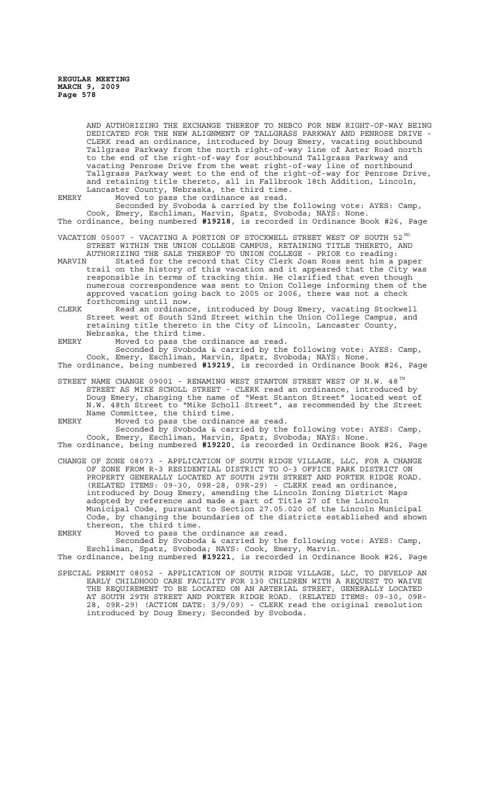AND AUTHORIZING THE EXCHANGE THEREOF TO NEBCO FOR NEW RIGHT-OF-WAY BEING DEDICATED FOR THE NEW ALIGNMENT OF TALLGRASS PARKWAY AND PENROSE DRIVE CLERK read an ordinance, introduced by Doug Emery, vacating southbound Tallgrass Parkway from the north right-of-way line of Aster Road north to the end of the right-of-way for southbound Tallgrass Parkway and vacating Penrose Drive from the west right-of-way line of northbound Tallgrass Parkway west to the end of the right-of-way for Penrose Drive, and retaining title thereto, all in Fallbrook 18th Addition, Lincoln, Lancaster County, Nebraska, the third time.

EMERY Moved to pass the ordinance as read.

Seconded by Svoboda & carried by the following vote: AYES: Camp, Cook, Emery, Eschliman, Marvin, Spatz, Svoboda; NAYS: None. The ordinance, being numbered **#19218**, is recorded in Ordinance Book #26, Page

VACATION 05007 - VACATING A PORTION OF STOCKWELL STREET WEST OF SOUTH 52  $^{\text{ND}}$ STREET WITHIN THE UNION COLLEGE CAMPUS, RETAINING TITLE THERETO, AND

AUTHORIZING THE SALE THEREOF TO UNION COLLEGE - PRIOR to reading:<br>MARVIN Stated for the record that City Clerk Joan Ross sent him a Stated for the record that City Clerk Joan Ross sent him a paper trail on the history of this vacation and it appeared that the City was responsible in terms of tracking this. He clarified that even though numerous correspondence was sent to Union College informing them of the approved vacation going back to 2005 or 2006, there was not a check forthcoming until now.

CLERK Read an ordinance, introduced by Doug Emery, vacating Stockwell Street west of South 52nd Street within the Union College Campus, and retaining title thereto in the City of Lincoln, Lancaster County, Nebraska, the third time.

EMERY Moved to pass the ordinance as read.

Seconded by Svoboda & carried by the following vote: AYES: Camp, Cook, Emery, Eschliman, Marvin, Spatz, Svoboda; NAYS: None. The ordinance, being numbered **#19219**, is recorded in Ordinance Book #26, Page

STREET NAME CHANGE 09001 - RENAMING WEST STANTON STREET WEST OF N.W. 48 $^{TH}$ STREET AS MIKE SCHOLL STREET - CLERK read an ordinance, introduced by Doug Emery, changing the name of "West Stanton Street" located west of N.W. 48th Street to "Mike Scholl Street", as recommended by the Street Name Committee, the third time.

EMERY Moved to pass the ordinance as read.

Seconded by Svoboda & carried by the following vote: AYES: Camp, Cook, Emery, Eschliman, Marvin, Spatz, Svoboda; NAYS: None. The ordinance, being numbered **#19220**, is recorded in Ordinance Book #26, Page

- CHANGE OF ZONE 08073 APPLICATION OF SOUTH RIDGE VILLAGE, LLC, FOR A CHANGE OF ZONE FROM R-3 RESIDENTIAL DISTRICT TO O-3 OFFICE PARK DISTRICT ON PROPERTY GENERALLY LOCATED AT SOUTH 29TH STREET AND PORTER RIDGE ROAD. (RELATED ITEMS: 09-30, 09R-28, 09R-29) - CLERK read an ordinance, introduced by Doug Emery, amending the Lincoln Zoning District Maps adopted by reference and made a part of Title 27 of the Lincoln Municipal Code, pursuant to Section 27.05.020 of the Lincoln Municipal Code, by changing the boundaries of the districts established and shown thereon, the third time.
- EMERY Moved to pass the ordinance as read. Seconded by Svoboda & carried by the following vote: AYES: Camp,

introduced by Doug Emery; Seconded by Svoboda.

Eschliman, Spatz, Svoboda; NAYS: Cook, Emery, Marvin. The ordinance, being numbered **#19221**, is recorded in Ordinance Book #26, Page

SPECIAL PERMIT 08052 - APPLICATION OF SOUTH RIDGE VILLAGE, LLC, TO DEVELOP AN EARLY CHILDHOOD CARE FACILITY FOR 130 CHILDREN WITH A REQUEST TO WAIVE THE REQUIREMENT TO BE LOCATED ON AN ARTERIAL STREET, GENERALLY LOCATED AT SOUTH 29TH STREET AND PORTER RIDGE ROAD. (RELATED ITEMS: 09-30, 09R-28, 09R-29) (ACTION DATE: 3/9/09) - CLERK read the original resolution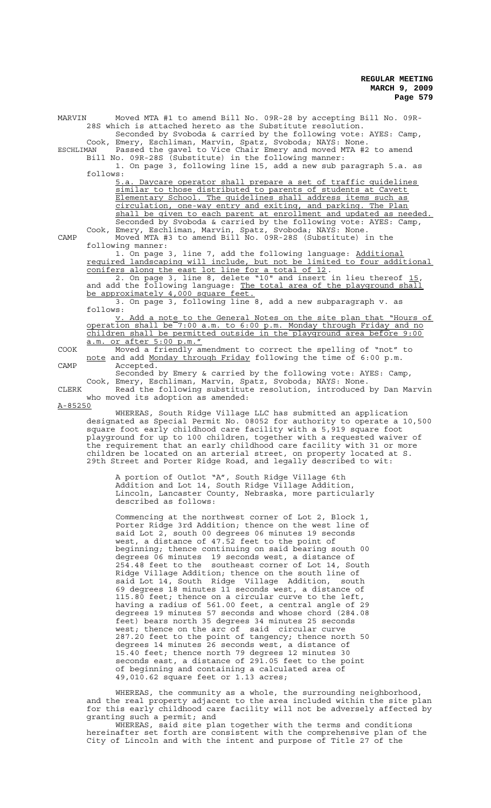| 28S which is attached hereto as the Substitute resolution.<br>Seconded by Svoboda & carried by the following vote: AYES: Camp,<br>Cook, Emery, Eschliman, Marvin, Spatz, Svoboda; NAYS: None.<br>Passed the gavel to Vice Chair Emery and moved MTA #2 to amend<br>Bill No. 09R-28S (Substitute) in the following manner:<br>1. On page 3, following line 15, add a new sub paragraph 5.a. as<br>5.a. Daycare operator shall prepare a set of traffic quidelines<br>similar to those distributed to parents of students at Cavett<br>Elementary School. The quidelines shall address items such as<br>circulation, one-way entry and exiting, and parking. The Plan<br>shall be given to each parent at enrollment and updated as needed.<br>Seconded by Svoboda & carried by the following vote: AYES: Camp,<br>Cook, Emery, Eschliman, Marvin, Spatz, Svoboda; NAYS: None.<br>Moved MTA #3 to amend Bill No. 09R-28S (Substitute) in the<br>1. On page 3, line 7, add the following language: Additional |
|------------------------------------------------------------------------------------------------------------------------------------------------------------------------------------------------------------------------------------------------------------------------------------------------------------------------------------------------------------------------------------------------------------------------------------------------------------------------------------------------------------------------------------------------------------------------------------------------------------------------------------------------------------------------------------------------------------------------------------------------------------------------------------------------------------------------------------------------------------------------------------------------------------------------------------------------------------------------------------------------------------|
|                                                                                                                                                                                                                                                                                                                                                                                                                                                                                                                                                                                                                                                                                                                                                                                                                                                                                                                                                                                                            |
|                                                                                                                                                                                                                                                                                                                                                                                                                                                                                                                                                                                                                                                                                                                                                                                                                                                                                                                                                                                                            |
|                                                                                                                                                                                                                                                                                                                                                                                                                                                                                                                                                                                                                                                                                                                                                                                                                                                                                                                                                                                                            |
|                                                                                                                                                                                                                                                                                                                                                                                                                                                                                                                                                                                                                                                                                                                                                                                                                                                                                                                                                                                                            |
|                                                                                                                                                                                                                                                                                                                                                                                                                                                                                                                                                                                                                                                                                                                                                                                                                                                                                                                                                                                                            |
|                                                                                                                                                                                                                                                                                                                                                                                                                                                                                                                                                                                                                                                                                                                                                                                                                                                                                                                                                                                                            |
|                                                                                                                                                                                                                                                                                                                                                                                                                                                                                                                                                                                                                                                                                                                                                                                                                                                                                                                                                                                                            |
|                                                                                                                                                                                                                                                                                                                                                                                                                                                                                                                                                                                                                                                                                                                                                                                                                                                                                                                                                                                                            |
|                                                                                                                                                                                                                                                                                                                                                                                                                                                                                                                                                                                                                                                                                                                                                                                                                                                                                                                                                                                                            |
|                                                                                                                                                                                                                                                                                                                                                                                                                                                                                                                                                                                                                                                                                                                                                                                                                                                                                                                                                                                                            |
|                                                                                                                                                                                                                                                                                                                                                                                                                                                                                                                                                                                                                                                                                                                                                                                                                                                                                                                                                                                                            |
|                                                                                                                                                                                                                                                                                                                                                                                                                                                                                                                                                                                                                                                                                                                                                                                                                                                                                                                                                                                                            |
|                                                                                                                                                                                                                                                                                                                                                                                                                                                                                                                                                                                                                                                                                                                                                                                                                                                                                                                                                                                                            |
|                                                                                                                                                                                                                                                                                                                                                                                                                                                                                                                                                                                                                                                                                                                                                                                                                                                                                                                                                                                                            |
|                                                                                                                                                                                                                                                                                                                                                                                                                                                                                                                                                                                                                                                                                                                                                                                                                                                                                                                                                                                                            |
|                                                                                                                                                                                                                                                                                                                                                                                                                                                                                                                                                                                                                                                                                                                                                                                                                                                                                                                                                                                                            |
|                                                                                                                                                                                                                                                                                                                                                                                                                                                                                                                                                                                                                                                                                                                                                                                                                                                                                                                                                                                                            |
| required landscaping will include, but not be limited to four additional                                                                                                                                                                                                                                                                                                                                                                                                                                                                                                                                                                                                                                                                                                                                                                                                                                                                                                                                   |
| conifers along the east lot line for a total of 12.                                                                                                                                                                                                                                                                                                                                                                                                                                                                                                                                                                                                                                                                                                                                                                                                                                                                                                                                                        |
| 2. On page 3, line 8, delete "10" and insert in lieu thereof 15,                                                                                                                                                                                                                                                                                                                                                                                                                                                                                                                                                                                                                                                                                                                                                                                                                                                                                                                                           |
| and add the following language: The total area of the playground shall                                                                                                                                                                                                                                                                                                                                                                                                                                                                                                                                                                                                                                                                                                                                                                                                                                                                                                                                     |
| be approximately 4,000 square feet.                                                                                                                                                                                                                                                                                                                                                                                                                                                                                                                                                                                                                                                                                                                                                                                                                                                                                                                                                                        |
| 3. On page 3, following line 8, add a new subparagraph v. as                                                                                                                                                                                                                                                                                                                                                                                                                                                                                                                                                                                                                                                                                                                                                                                                                                                                                                                                               |
|                                                                                                                                                                                                                                                                                                                                                                                                                                                                                                                                                                                                                                                                                                                                                                                                                                                                                                                                                                                                            |
| y. Add a note to the General Notes on the site plan that "Hours of                                                                                                                                                                                                                                                                                                                                                                                                                                                                                                                                                                                                                                                                                                                                                                                                                                                                                                                                         |
| operation shall be <sup>7</sup> :00 a.m. to 6:00 p.m. Monday through Friday and no                                                                                                                                                                                                                                                                                                                                                                                                                                                                                                                                                                                                                                                                                                                                                                                                                                                                                                                         |
|                                                                                                                                                                                                                                                                                                                                                                                                                                                                                                                                                                                                                                                                                                                                                                                                                                                                                                                                                                                                            |
|                                                                                                                                                                                                                                                                                                                                                                                                                                                                                                                                                                                                                                                                                                                                                                                                                                                                                                                                                                                                            |
|                                                                                                                                                                                                                                                                                                                                                                                                                                                                                                                                                                                                                                                                                                                                                                                                                                                                                                                                                                                                            |
|                                                                                                                                                                                                                                                                                                                                                                                                                                                                                                                                                                                                                                                                                                                                                                                                                                                                                                                                                                                                            |
|                                                                                                                                                                                                                                                                                                                                                                                                                                                                                                                                                                                                                                                                                                                                                                                                                                                                                                                                                                                                            |
|                                                                                                                                                                                                                                                                                                                                                                                                                                                                                                                                                                                                                                                                                                                                                                                                                                                                                                                                                                                                            |
|                                                                                                                                                                                                                                                                                                                                                                                                                                                                                                                                                                                                                                                                                                                                                                                                                                                                                                                                                                                                            |
| Read the following substitute resolution, introduced by Dan Marvin                                                                                                                                                                                                                                                                                                                                                                                                                                                                                                                                                                                                                                                                                                                                                                                                                                                                                                                                         |
|                                                                                                                                                                                                                                                                                                                                                                                                                                                                                                                                                                                                                                                                                                                                                                                                                                                                                                                                                                                                            |
|                                                                                                                                                                                                                                                                                                                                                                                                                                                                                                                                                                                                                                                                                                                                                                                                                                                                                                                                                                                                            |
| who moved its adoption as amended:                                                                                                                                                                                                                                                                                                                                                                                                                                                                                                                                                                                                                                                                                                                                                                                                                                                                                                                                                                         |
|                                                                                                                                                                                                                                                                                                                                                                                                                                                                                                                                                                                                                                                                                                                                                                                                                                                                                                                                                                                                            |
| WHEREAS, South Ridge Village LLC has submitted an application                                                                                                                                                                                                                                                                                                                                                                                                                                                                                                                                                                                                                                                                                                                                                                                                                                                                                                                                              |
| designated as Special Permit No. 08052 for authority to operate a 10,500                                                                                                                                                                                                                                                                                                                                                                                                                                                                                                                                                                                                                                                                                                                                                                                                                                                                                                                                   |
| square foot early childhood care facility with a 5,919 square foot                                                                                                                                                                                                                                                                                                                                                                                                                                                                                                                                                                                                                                                                                                                                                                                                                                                                                                                                         |
| playground for up to 100 children, together with a requested waiver of                                                                                                                                                                                                                                                                                                                                                                                                                                                                                                                                                                                                                                                                                                                                                                                                                                                                                                                                     |
| the requirement that an early childhood care facility with 31 or more<br>children be located on an arterial street, on property located at S.                                                                                                                                                                                                                                                                                                                                                                                                                                                                                                                                                                                                                                                                                                                                                                                                                                                              |
| children shall be permitted outside in the playground area before 9:00<br>Moved a friendly amendment to correct the spelling of "not" to<br>note and add Monday through Friday following the time of 6:00 p.m.<br>Seconded by Emery & carried by the following vote: AYES: Camp,<br>Cook, Emery, Eschliman, Marvin, Spatz, Svoboda; NAYS: None.                                                                                                                                                                                                                                                                                                                                                                                                                                                                                                                                                                                                                                                            |

A portion of Outlot "A", South Ridge Village 6th Addition and Lot 14, South Ridge Village Addition, Lincoln, Lancaster County, Nebraska, more particularly described as follows:

Commencing at the northwest corner of Lot 2, Block 1, Porter Ridge 3rd Addition; thence on the west line of said Lot 2, south 00 degrees 06 minutes 19 seconds west, a distance of 47.52 feet to the point of beginning; thence continuing on said bearing south 00 degrees 06 minutes 19 seconds west, a distance of 254.48 feet to the southeast corner of Lot 14, South Ridge Village Addition; thence on the south line of said Lot 14, South Ridge Village Addition, south 69 degrees 18 minutes 11 seconds west, a distance of 115.80 feet; thence on a circular curve to the left, having a radius of 561.00 feet, a central angle of 29 degrees 19 minutes 57 seconds and whose chord (284.08 feet) bears north 35 degrees 34 minutes 25 seconds west; thence on the arc of said circular curve 287.20 feet to the point of tangency; thence north 50 degrees 14 minutes 26 seconds west, a distance of 15.40 feet; thence north 79 degrees 12 minutes 30 seconds east, a distance of 291.05 feet to the point of beginning and containing a calculated area of 49,010.62 square feet or 1.13 acres;

WHEREAS, the community as a whole, the surrounding neighborhood, and the real property adjacent to the area included within the site plan for this early childhood care facility will not be adversely affected by granting such a permit; and

WHEREAS, said site plan together with the terms and conditions hereinafter set forth are consistent with the comprehensive plan of the City of Lincoln and with the intent and purpose of Title 27 of the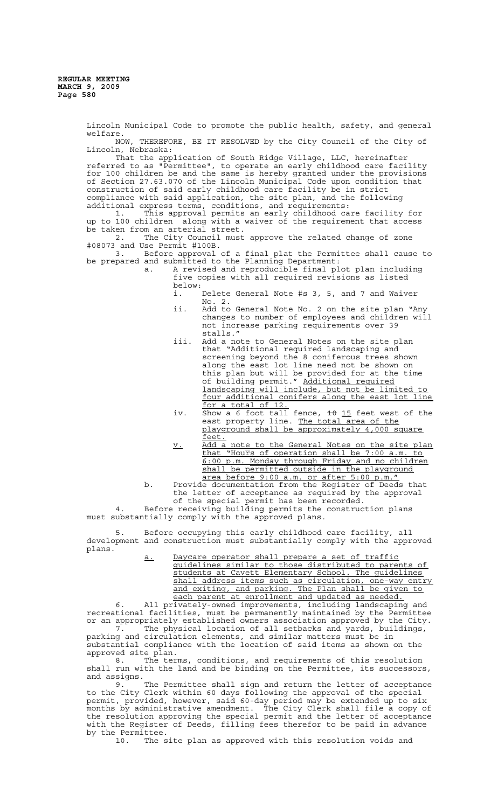Lincoln Municipal Code to promote the public health, safety, and general welfare. NOW, THEREFORE, BE IT RESOLVED by the City Council of the City of Lincoln, Nebraska: That the application of South Ridge Village, LLC, hereinafter referred to as "Permittee", to operate an early childhood care facility for 100 children be and the same is hereby granted under the provisions of Section 27.63.070 of the Lincoln Municipal Code upon condition that construction of said early childhood care facility be in strict compliance with said application, the site plan, and the following additional express terms, conditions, and requirements: 1. This approval permits an early childhood care facility for up to 100 children along with a waiver of the requirement that access be taken from an arterial street. 2. The City Council must approve the related change of zone #08073 and Use Permit #100B. 3. Before approval of a final plat the Permittee shall cause to be prepared and submitted to the Planning Department: a. A revised and reproducible final plot plan including five copies with all required revisions as listed below:<br>i. Delete General Note #s 3, 5, and 7 and Waiver No. 2. ii. Add to General Note No. 2 on the site plan "Any changes to number of employees and children will not increase parking requirements over 39 stalls." iii. Add a note to General Notes on the site plan that "Additional required landscaping and screening beyond the 8 coniferous trees shown along the east lot line need not be shown on this plan but will be provided for at the time of building permit." Additional required of building permit. Extractions are in the limited to four additional conifers along the east lot line for a total of 12. iv. Show a 6 foot tall fence, to 15 feet west of the east property line. The total area of the

- playground shall be approximately 4,000 square feet. v. Add a note to the General Notes on the site plan
- that "Hours of operation shall be 7:00 a.m. to 6:00 p.m. Monday through Friday and no children shall be permitted outside in the playground area before 9:00 a.m. or after 5:00 p.m."
- b. Provide documentation from the Register of Deeds that the letter of acceptance as required by the approval of the special permit has been recorded.

Before receiving building permits the construction plans must substantially comply with the approved plans.

5. Before occupying this early childhood care facility, all development and construction must substantially comply with the approved plans.

a. Daycare operator shall prepare a set of traffic guidelines similar to those distributed to parents of students at Cavett Elementary School. The guidelines shall address items such as circulation, one-way entry and exiting, and parking. The Plan shall be given to each parent at enrollment and updated as needed.

6. All privately-owned improvements, including landscaping and recreational facilities, must be permanently maintained by the Permittee or an appropriately established owners association approved by the City. 7. The physical location of all setbacks and yards, buildings,

parking and circulation elements, and similar matters must be in substantial compliance with the location of said items as shown on the approved site plan.

8. The terms, conditions, and requirements of this resolution shall run with the land and be binding on the Permittee, its successors, and assigns.

9. The Permittee shall sign and return the letter of acceptance to the City Clerk within 60 days following the approval of the special permit, provided, however, said 60-day period may be extended up to six months by administrative amendment. The City Clerk shall file a copy of the resolution approving the special permit and the letter of acceptance with the Register of Deeds, filling fees therefor to be paid in advance by the Permittee.

10. The site plan as approved with this resolution voids and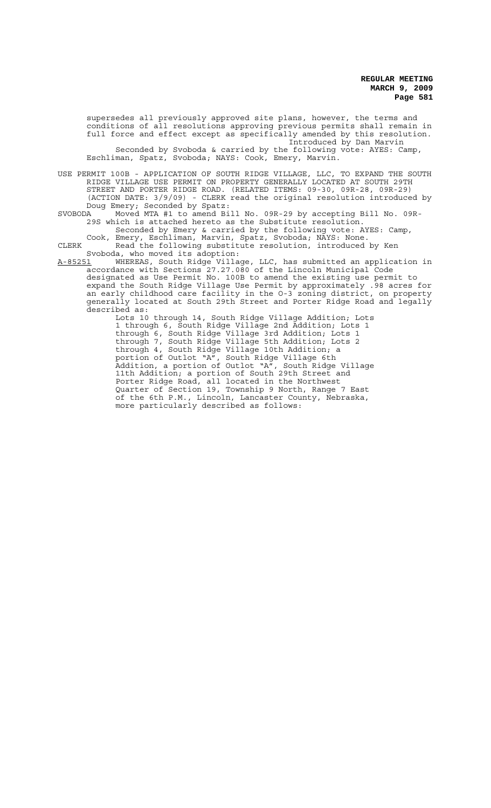supersedes all previously approved site plans, however, the terms and conditions of all resolutions approving previous permits shall remain in full force and effect except as specifically amended by this resolution. Introduced by Dan Marvin Seconded by Svoboda & carried by the following vote: AYES: Camp, Eschliman, Spatz, Svoboda; NAYS: Cook, Emery, Marvin.

USE PERMIT 100B - APPLICATION OF SOUTH RIDGE VILLAGE, LLC, TO EXPAND THE SOUTH RIDGE VILLAGE USE PERMIT ON PROPERTY GENERALLY LOCATED AT SOUTH 29TH STREET AND PORTER RIDGE ROAD. (RELATED ITEMS: 09-30, 09R-28, 09R-29) (ACTION DATE: 3/9/09) - CLERK read the original resolution introduced by Doug Emery; Seconded by Spatz:<br>SVOBODA Moved MTA #1 to amend Bi

SVOBODA Moved MTA #1 to amend Bill No. 09R-29 by accepting Bill No. 09R-29S which is attached hereto as the Substitute resolution. Seconded by Emery & carried by the following vote: AYES: Camp,

Cook, Emery, Eschliman, Marvin, Spatz, Svoboda; NAYS: None. CLERK Read the following substitute resolution, introduced by Ken Svoboda, who moved its adoption:

A-85251 MHEREAS, South Ridge Village, LLC, has submitted an application in accordance with Sections 27.27.080 of the Lincoln Municipal Code designated as Use Permit No. 100B to amend the existing use permit to expand the South Ridge Village Use Permit by approximately .98 acres for an early childhood care facility in the O-3 zoning district, on property generally located at South 29th Street and Porter Ridge Road and legally described as:

Lots 10 through 14, South Ridge Village Addition; Lots 1 through 6, South Ridge Village 2nd Addition; Lots 1 through 6, South Ridge Village 3rd Addition; Lots 1 through 7, South Ridge Village 5th Addition; Lots 2 through 4, South Ridge Village 10th Addition; a portion of Outlot "A", South Ridge Village 6th Addition, a portion of Outlot "A", South Ridge Village 11th Addition; a portion of South 29th Street and Porter Ridge Road, all located in the Northwest Quarter of Section 19, Township 9 North, Range 7 East of the 6th P.M., Lincoln, Lancaster County, Nebraska, more particularly described as follows: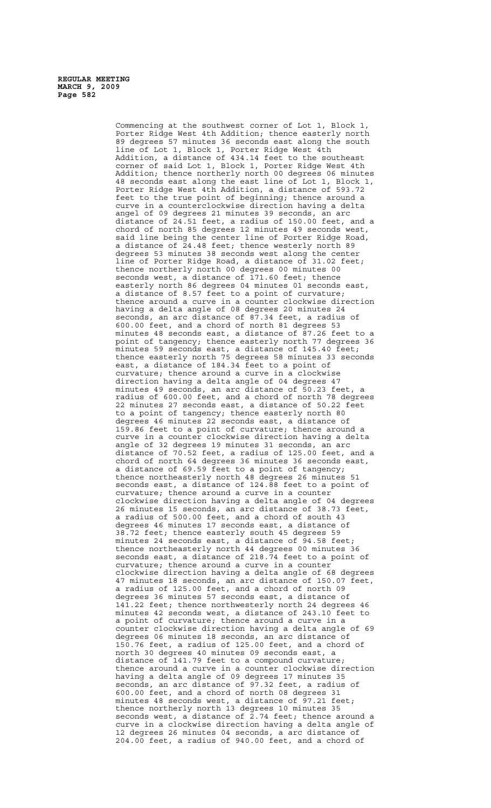Commencing at the southwest corner of Lot 1, Block 1, Porter Ridge West 4th Addition; thence easterly north 89 degrees 57 minutes 36 seconds east along the south line of Lot 1, Block 1, Porter Ridge West 4th Addition, a distance of 434.14 feet to the southeast corner of said Lot 1, Block 1, Porter Ridge West 4th Addition; thence northerly north 00 degrees 06 minutes 48 seconds east along the east line of Lot 1, Block 1, Porter Ridge West 4th Addition, a distance of 593.72 feet to the true point of beginning; thence around a curve in a counterclockwise direction having a delta angel of 09 degrees 21 minutes 39 seconds, an arc distance of 24.51 feet, a radius of 150.00 feet, and a chord of north 85 degrees 12 minutes 49 seconds west, said line being the center line of Porter Ridge Road, a distance of 24.48 feet; thence westerly north 89 degrees 53 minutes 38 seconds west along the center line of Porter Ridge Road, a distance of 31.02 feet; thence northerly north 00 degrees 00 minutes 00 seconds west, a distance of  $171.60$  feet; thence easterly north 86 degrees 04 minutes 01 seconds east, a distance of 8.57 feet to a point of curvature; thence around a curve in a counter clockwise direction having a delta angle of 08 degrees 20 minutes 24 seconds, an arc distance of 87.34 feet, a radius of 600.00 feet, and a chord of north 81 degrees 53 minutes 48 seconds east, a distance of 87.26 feet to a point of tangency; thence easterly north 77 degrees 36 minutes 59 seconds east, a distance of 145.40 feet; thence easterly north 75 degrees 58 minutes 33 seconds east, a distance of 184.34 feet to a point of curvature; thence around a curve in a clockwise direction having a delta angle of 04 degrees 47 minutes 49 seconds, an arc distance of 50.23 feet, a radius of 600.00 feet, and a chord of north 78 degrees 22 minutes 27 seconds east, a distance of 50.22 feet to a point of tangency; thence easterly north 80 degrees 46 minutes 22 seconds east, a distance of 159.86 feet to a point of curvature; thence around a curve in a counter clockwise direction having a delta angle of 32 degrees 19 minutes 31 seconds, an arc distance of 70.52 feet, a radius of 125.00 feet, and a chord of north 64 degrees 36 minutes 36 seconds east, a distance of 69.59 feet to a point of tangency; thence northeasterly north 48 degrees 26 minutes 51 seconds east, a distance of 124.88 feet to a point of curvature; thence around a curve in a counter clockwise direction having a delta angle of 04 degrees 26 minutes 15 seconds, an arc distance of 38.73 feet, a radius of 500.00 feet, and a chord of degrees 46 minutes 17 seconds east, a distance of 38.72 feet; thence easterly south 45 degrees 59 minutes 24 seconds east, a distance of 94.58 feet; thence northeasterly north 44 degrees 00 minutes 36 seconds east, a distance of 218.74 feet to a point of curvature; thence around a curve in a counter clockwise direction having a delta angle of 68 degrees 47 minutes 18 seconds, an arc distance of 150.07 feet, a radius of 125.00 feet, and a chord of north 09 degrees 36 minutes 57 seconds east, a distance of 141.22 feet; thence northwesterly north 24 degrees 46 minutes 42 seconds west, a distance of 243.10 feet to a point of curvature; thence around a curve in a counter clockwise direction having a delta angle of 69 degrees 06 minutes 18 seconds, an arc distance of 150.76 feet, a radius of 125.00 feet, and a chord of north 30 degrees 40 minutes 09 seconds east, a distance of 141.79 feet to a compound curvature; thence around a curve in a counter clockwise direction having a delta angle of 09 degrees 17 minutes 35 seconds, an arc distance of 97.32 feet, a radius of 600.00 feet, and a chord of north 08 degrees 31 minutes 48 seconds west, a distance of 97.21 feet; thence northerly north 13 degrees 10 minutes 35 seconds west, a distance of 2.74 feet; thence around a curve in a clockwise direction having a delta angle of 12 degrees 26 minutes 04 seconds, a arc distance 204.00 feet, a radius of 940.00 feet, and a chord of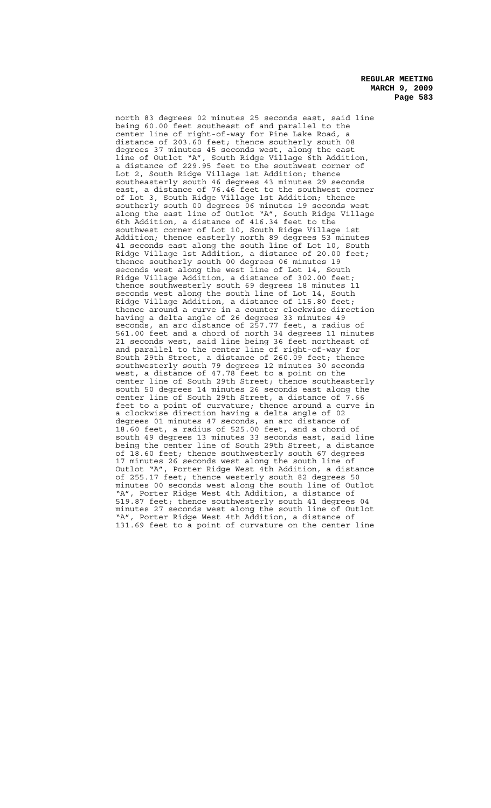north 83 degrees 02 minutes 25 seconds east, said line being 60.00 feet southeast of and parallel to the center line of right-of-way for Pine Lake Road, distance of 203.60 feet; thence southerly south 08 degrees 37 minutes 45 seconds west, along the east line of Outlot "A", South Ridge Village 6th Addition, a distance of 229.95 feet to the southwest corner of Lot 2, South Ridge Village 1st Addition; thence southeasterly south 46 degrees 43 minutes 29 seconds east, a distance of 76.46 feet to the southwest corner of Lot 3, South Ridge Village 1st Addition; thence southerly south 00 degrees 06 minutes 19 seconds west along the east line of Outlot "A", South Ridge Village 6th Addition, a distance of 416.34 feet to the southwest corner of Lot 10, South Ridge Village 1st Addition; thence easterly north 89 degrees 53 minutes 41 seconds east along the south line of Lot 10, South Ridge Village 1st Addition, a distance of 20.00 feet; thence southerly south 00 degrees 06 minutes 19 seconds west along the west line of Lot 14, South Ridge Village Addition, a distance of 302.00 feet; thence southwesterly south 69 degrees 18 minutes 11 seconds west along the south line of Lot 14, South Ridge Village Addition, a distance of 115.80 feet; thence around a curve in a counter clockwise direction having a delta angle of 26 degrees 33 minutes 49 seconds, an arc distance of 257.77 feet, a radius of 561.00 feet and a chord of north 34 degrees 11 minutes 21 seconds west, said line being 36 feet northeast of and parallel to the center line of right-of-way for South 29th Street, a distance of 260.09 feet; thence southwesterly south 79 degrees 12 minutes 30 seconds west, a distance of 47.78 feet to a point on the center line of South 29th Street; thence southeasterly south 50 degrees 14 minutes 26 seconds east along the<br>center line of South 29th Street, a distance of 7.66 center line of South 29th Street, a distance of feet to a point of curvature; thence around a curve in a clockwise direction having a delta angle of 02 degrees 01 minutes 47 seconds, an arc distance of 18.60 feet, a radius of 525.00 feet, and a chord of south 49 degrees 13 minutes 33 seconds east, said line being the center line of South 29th Street, a distance of 18.60 feet; thence southwesterly south 67 degrees 17 minutes 26 seconds west along the south line of Outlot "A", Porter Ridge West 4th Addition, a distance of 255.17 feet; thence westerly south 82 degrees 50 minutes 00 seconds west along the south line of Outlot "A", Porter Ridge West 4th Addition, a distance of 519.87 feet; thence southwesterly south 41 degrees 04 minutes 27 seconds west along the south line of Outlot "A", Porter Ridge West 4th Addition, a distance of 131.69 feet to a point of curvature on the center line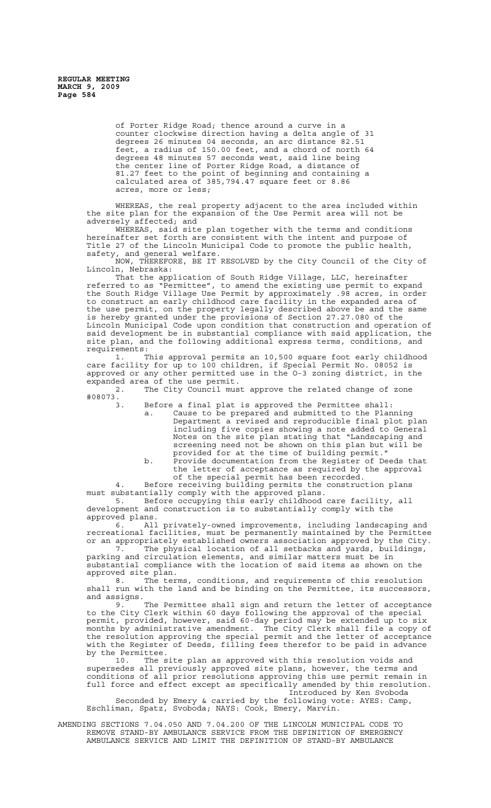of Porter Ridge Road; thence around a curve in a counter clockwise direction having a delta angle of 31 degrees 26 minutes 04 seconds, an arc distance 82.51 feet, a radius of 150.00 feet, and a chord of north 64 degrees 48 minutes 57 seconds west, said line being the center line of Porter Ridge Road, a distance of 81.27 feet to the point of beginning and containing a calculated area of 385,794.47 square feet or 8.86 acres, more or less;

WHEREAS, the real property adjacent to the area included within the site plan for the expansion of the Use Permit area will not be adversely affected; and

WHEREAS, said site plan together with the terms and conditions hereinafter set forth are consistent with the intent and purpose of Title 27 of the Lincoln Municipal Code to promote the public health, safety, and general welfare.

NOW, THEREFORE, BE IT RESOLVED by the City Council of the City of Lincoln, Nebraska:

That the application of South Ridge Village, LLC, hereinafter referred to as "Permittee", to amend the existing use permit to expand the South Ridge Village Use Permit by approximately .98 acres, in order to construct an early childhood care facility in the expanded area of the use permit, on the property legally described above be and the same is hereby granted under the provisions of Section 27.27.080 of the Lincoln Municipal Code upon condition that construction and operation of said development be in substantial compliance with said application, the site plan, and the following additional express terms, conditions, and requirements:

1. This approval permits an 10,500 square foot early childhood care facility for up to 100 children, if Special Permit No. 08052 is approved or any other permitted use in the O-3 zoning district, in the expanded area of the use permit.

2. The City Council must approve the related change of zone  $#08073.$ 

3. Before a final plat is approved the Permittee shall:

- a. Cause to be prepared and submitted to the Planning Department a revised and reproducible final plot plan including five copies showing a note added to General Notes on the site plan stating that "Landscaping and screening need not be shown on this plan but will be provided for at the time of building permit."
- b. Provide documentation from the Register of Deeds that the letter of acceptance as required by the approval of the special permit has been recorded.

4. Before receiving building permits the construction plans must substantially comply with the approved plans. 5. Before occupying this early childhood care facility, all

development and construction is to substantially comply with the approved plans.

6. All privately-owned improvements, including landscaping and recreational facilities, must be permanently maintained by the Permittee or an appropriately established owners association approved by the City.

7. The physical location of all setbacks and yards, buildings, parking and circulation elements, and similar matters must be in substantial compliance with the location of said items as shown on the approved site plan.

8. The terms, conditions, and requirements of this resolution shall run with the land and be binding on the Permittee, its successors, and assigns.

9. The Permittee shall sign and return the letter of acceptance to the City Clerk within 60 days following the approval of the special permit, provided, however, said 60-day period may be extended up to six months by administrative amendment. The City Clerk shall file a copy of the resolution approving the special permit and the letter of acceptance with the Register of Deeds, filling fees therefor to be paid in advance by the Permittee.

10. The site plan as approved with this resolution voids and supersedes all previously approved site plans, however, the terms and conditions of all prior resolutions approving this use permit remain in full force and effect except as specifically amended by this resolution. Introduced by Ken Svoboda

Seconded by Emery & carried by the following vote: AYES: Camp, Eschliman, Spatz, Svoboda; NAYS: Cook, Emery, Marvin.

AMENDING SECTIONS 7.04.050 AND 7.04.200 OF THE LINCOLN MUNICIPAL CODE TO REMOVE STAND-BY AMBULANCE SERVICE FROM THE DEFINITION OF EMERGENCY AMBULANCE SERVICE AND LIMIT THE DEFINITION OF STAND-BY AMBULANCE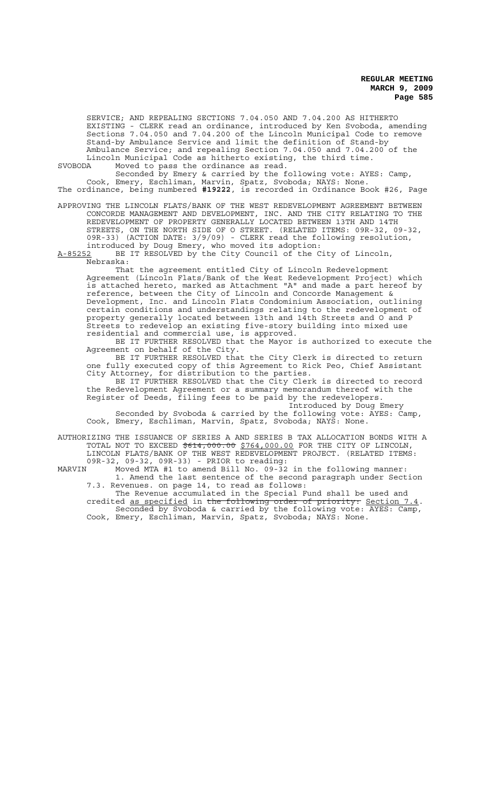SERVICE; AND REPEALING SECTIONS 7.04.050 AND 7.04.200 AS HITHERTO EXISTING - CLERK read an ordinance, introduced by Ken Svoboda, amending Sections 7.04.050 and 7.04.200 of the Lincoln Municipal Code to remove Stand-by Ambulance Service and limit the definition of Stand-by Ambulance Service; and repealing Section 7.04.050 and 7.04.200 of the Lincoln Municipal Code as hitherto existing, the third time.

SVOBODA Moved to pass the ordinance as read.

Seconded by Emery & carried by the following vote: AYES: Camp, Cook, Emery, Eschliman, Marvin, Spatz, Svoboda; NAYS: None. The ordinance, being numbered **#19222**, is recorded in Ordinance Book #26, Page

APPROVING THE LINCOLN FLATS/BANK OF THE WEST REDEVELOPMENT AGREEMENT BETWEEN CONCORDE MANAGEMENT AND DEVELOPMENT, INC. AND THE CITY RELATING TO THE REDEVELOPMENT OF PROPERTY GENERALLY LOCATED BETWEEN 13TH AND 14TH STREETS, ON THE NORTH SIDE OF O STREET. (RELATED ITEMS: 09R-32, 09-32, 09R-33) (ACTION DATE: 3/9/09) - CLERK read the following resolution, introduced by Doug Emery, who moved its adoption:

A-85252 BE IT RESOLVED by the City Council of the City of Lincoln, Nebraska:

That the agreement entitled City of Lincoln Redevelopment Agreement (Lincoln Flats/Bank of the West Redevelopment Project) which is attached hereto, marked as Attachment "A" and made a part hereof by reference, between the City of Lincoln and Concorde Management &<br>Development, Inc. and Lincoln Flats Condominium Association, out Inc. and Lincoln Flats Condominium Association, outlining certain conditions and understandings relating to the redevelopment of property generally located between 13th and 14th Streets and O and P Streets to redevelop an existing five-story building into mixed use residential and commercial use, is approved.

BE IT FURTHER RESOLVED that the Mayor is authorized to execute the Agreement on behalf of the City.

BE IT FURTHER RESOLVED that the City Clerk is directed to return one fully executed copy of this Agreement to Rick Peo, Chief Assistant City Attorney, for distribution to the parties.

BE IT FURTHER RESOLVED that the City Clerk is directed to record the Redevelopment Agreement or a summary memorandum thereof with the Register of Deeds, filing fees to be paid by the redevelopers.

Introduced by Doug Emery Seconded by Svoboda & carried by the following vote: AYES: Camp, Cook, Emery, Eschliman, Marvin, Spatz, Svoboda; NAYS: None.

AUTHORIZING THE ISSUANCE OF SERIES A AND SERIES B TAX ALLOCATION BONDS WITH A TOTAL NOT TO EXCEED  $$614,000.00$   $$764,000.00$  FOR THE CITY OF LINCOLN, LINCOLN FLATS/BANK OF THE WEST REDEVELOPMENT PROJECT. (RELATED ITEMS:

09R-32, 09-32, 09R-33) - PRIOR to reading:

MARVIN Moved MTA #1 to amend Bill No. 09-32 in the following manner: 1. Amend the last sentence of the second paragraph under Section 7.3. Revenues. on page 14, to read as follows:

The Revenue accumulated in the Special Fund shall be used and credited <u>as specified</u> in the following order of priority: Section 7.4.<br>Seconded by Svoboda & carried by the following vote: AYES: Camp, Cook, Emery, Eschliman, Marvin, Spatz, Svoboda; NAYS: None.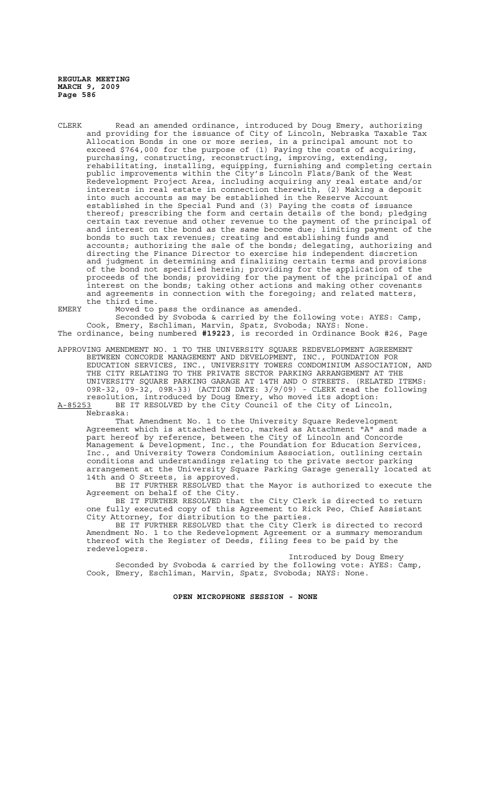CLERK Read an amended ordinance, introduced by Doug Emery, authorizing and providing for the issuance of City of Lincoln, Nebraska Taxable Tax Allocation Bonds in one or more series, in a principal amount not to exceed \$764,000 for the purpose of (1) Paying the costs of acquiring, purchasing, constructing, reconstructing, improving, extending, rehabilitating, installing, equipping, furnishing and completing certain public improvements within the City's Lincoln Flats/Bank of the West Redevelopment Project Area, including acquiring any real estate and/or interests in real estate in connection therewith, (2) Making a deposit into such accounts as may be established in the Reserve Account established in the Special Fund and (3) Paying the costs of issuance thereof; prescribing the form and certain details of the bond; pledging certain tax revenue and other revenue to the payment of the principal of and interest on the bond as the same become due; limiting payment of the bonds to such tax revenues; creating and establishing funds and accounts; authorizing the sale of the bonds; delegating, authorizing and directing the Finance Director to exercise his independent discretion and judgment in determining and finalizing certain terms and provisions of the bond not specified herein; providing for the application of the proceeds of the bonds; providing for the payment of the principal of and interest on the bonds; taking other actions and making other covenants and agreements in connection with the foregoing; and related matters, the third time.

EMERY Moved to pass the ordinance as amended.

Seconded by Svoboda & carried by the following vote: AYES: Camp, Cook, Emery, Eschliman, Marvin, Spatz, Svoboda; NAYS: None. The ordinance, being numbered **#19223**, is recorded in Ordinance Book #26, Page

APPROVING AMENDMENT NO. 1 TO THE UNIVERSITY SQUARE REDEVELOPMENT AGREEMENT BETWEEN CONCORDE MANAGEMENT AND DEVELOPMENT, INC., FOUNDATION FOR EDUCATION SERVICES, INC., UNIVERSITY TOWERS CONDOMINIUM ASSOCIATION, AND THE CITY RELATING TO THE PRIVATE SECTOR PARKING ARRANGEMENT AT THE UNIVERSITY SQUARE PARKING GARAGE AT 14TH AND O STREETS. (RELATED ITEMS: 09R-32, 09-32, 09R-33) (ACTION DATE: 3/9/09) - CLERK read the following resolution, introduced by Doug Emery, who moved its adoption: A-85253 BE IT RESOLVED by the City Council of the City of Lincoln,

 $A-85253$  BE<br>Nebraska:

That Amendment No. 1 to the University Square Redevelopment Agreement which is attached hereto, marked as Attachment "A" and made a part hereof by reference, between the City of Lincoln and Concorde Management & Development, Inc., the Foundation for Education Services, Inc., and University Towers Condominium Association, outlining certain conditions and understandings relating to the private sector parking arrangement at the University Square Parking Garage generally located at 14th and O Streets, is approved.

BE IT FURTHER RESOLVED that the Mayor is authorized to execute the Agreement on behalf of the City.

BE IT FURTHER RESOLVED that the City Clerk is directed to return one fully executed copy of this Agreement to Rick Peo, Chief Assistant City Attorney, for distribution to the parties.

BE IT FURTHER RESOLVED that the City Clerk is directed to record Amendment No. 1 to the Redevelopment Agreement or a summary memorandum thereof with the Register of Deeds, filing fees to be paid by the redevelopers.

Introduced by Doug Emery Seconded by Svoboda & carried by the following vote: AYES: Camp, Cook, Emery, Eschliman, Marvin, Spatz, Svoboda; NAYS: None.

**OPEN MICROPHONE SESSION - NONE**